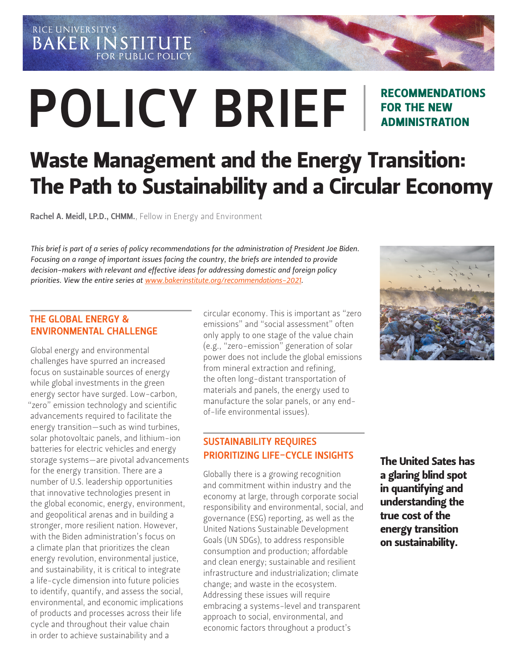RICE UNIVERSITY'S **BAKER INSTITUTE FOR PUBLIC POLICY** 

# POLICY BRIEF

# RECOMMENDATIONS FOR THE NEW ADMINISTRATION

# Waste Management and the Energy Transition: The Path to Sustainability and a Circular Economy

Rachel A. Meidl, LP.D., CHMM.[, Fellow in Energy and Environment](https://www.bakerinstitute.org/experts/rachel-a-meidl/)

*This brief is part of a series of policy recommendations for the administration of President Joe Biden. Focusing on a range of important issues facing the country, the briefs are intended to provide decision-makers with relevant and effective ideas for addressing domestic and foreign policy priorities. View the entire series at www.bakerinstitute.org/recommendations-2021.*

#### THE GLOBAL ENERGY & ENVIRONMENTAL CHALLENGE

Global energy and environmental challenges have spurred an increased focus on sustainable sources of energy while global investments in the green energy sector have surged. Low-carbon, "zero" emission technology and scientific advancements required to facilitate the energy transition—such as wind turbines, solar photovoltaic panels, and lithium-ion batteries for electric vehicles and energy storage systems—are pivotal advancements for the energy transition. There are a number of U.S. leadership opportunities that innovative technologies present in the global economic, energy, environment, and geopolitical arenas and in building a stronger, more resilient nation. However, with the Biden administration's focus on a climate plan that prioritizes the clean energy revolution, environmental justice, and sustainability, it is critical to integrate a life-cycle dimension into future policies to identify, quantify, and assess the social, environmental, and economic implications of products and processes across their life cycle and throughout their value chain in order to achieve sustainability and a

circular economy. This is important as "zero emissions" and "social assessment" often only apply to one stage of the value chain (e.g., "zero-emission" generation of solar power does not include the global emissions from mineral extraction and refining, the often long-distant transportation of materials and panels, the energy used to manufacture the solar panels, or any endof-life environmental issues).

# SUSTAINABILITY REQUIRES PRIORITIZING LIFE-CYCLE INSIGHTS

Globally there is a growing recognition and commitment within industry and the economy at large, through corporate social responsibility and environmental, social, and governance (ESG) reporting, as well as the United Nations Sustainable Development Goals (UN SDGs), to address responsible consumption and production; affordable and clean energy; sustainable and resilient infrastructure and industrialization; climate change; and waste in the ecosystem. Addressing these issues will require embracing a systems-level and transparent approach to social, environmental, and economic factors throughout a product's



The United Sates has a glaring blind spot in quantifying and understanding the true cost of the energy transition on sustainability.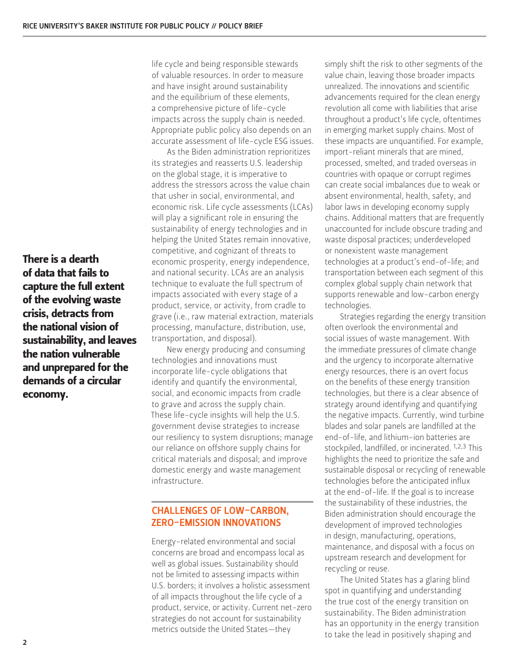There is a dearth of data that fails to capture the full extent of the evolving waste crisis, detracts from the national vision of sustainability, and leaves the nation vulnerable and unprepared for the demands of a circular economy.

life cycle and being responsible stewards of valuable resources. In order to measure and have insight around sustainability and the equilibrium of these elements, a comprehensive picture of life-cycle impacts across the supply chain is needed. Appropriate public policy also depends on an accurate assessment of life-cycle ESG issues.

As the Biden administration reprioritizes its strategies and reasserts U.S. leadership on the global stage, it is imperative to address the stressors across the value chain that usher in social, environmental, and economic risk. Life cycle assessments (LCAs) will play a significant role in ensuring the sustainability of energy technologies and in helping the United States remain innovative, competitive, and cognizant of threats to economic prosperity, energy independence, and national security. LCAs are an analysis technique to evaluate the full spectrum of impacts associated with every stage of a product, service, or activity, from cradle to grave (i.e., raw material extraction, materials processing, manufacture, distribution, use, transportation, and disposal).

New energy producing and consuming technologies and innovations must incorporate life-cycle obligations that identify and quantify the environmental, social, and economic impacts from cradle to grave and across the supply chain. These life-cycle insights will help the U.S. government devise strategies to increase our resiliency to system disruptions; manage our reliance on offshore supply chains for critical materials and disposal; and improve domestic energy and waste management infrastructure.

# CHALLENGES OF LOW-CARBON, ZERO-EMISSION INNOVATIONS

Energy-related environmental and social concerns are broad and encompass local as well as global issues. Sustainability should not be limited to assessing impacts within U.S. borders; it involves a holistic assessment of all impacts throughout the life cycle of a product, service, or activity. Current net-zero strategies do not account for sustainability metrics outside the United States—they

simply shift the risk to other segments of the value chain, leaving those broader impacts unrealized. The innovations and scientific advancements required for the clean energy revolution all come with liabilities that arise throughout a product's life cycle, oftentimes in emerging market supply chains. Most of these impacts are unquantified. For example, import-reliant minerals that are mined, processed, smelted, and traded overseas in countries with opaque or corrupt regimes can create social imbalances due to weak or absent environmental, health, safety, and labor laws in developing economy supply chains. Additional matters that are frequently unaccounted for include obscure trading and waste disposal practices; underdeveloped or nonexistent waste management technologies at a product's end-of-life; and transportation between each segment of this complex global supply chain network that supports renewable and low-carbon energy technologies.

Strategies regarding the energy transition often overlook the environmental and social issues of waste management. With the immediate pressures of climate change and the urgency to incorporate alternative energy resources, there is an overt focus on the benefits of these energy transition technologies, but there is a clear absence of strategy around identifying and quantifying the negative impacts. Currently, wind turbine blades and solar panels are landfilled at the end-of-life, and lithium-ion batteries are stockpiled, landfilled, or incinerated. 1,2,3 This highlights the need to prioritize the safe and sustainable disposal or recycling of renewable technologies before the anticipated influx at the end-of-life. If the goal is to increase the sustainability of these industries, the Biden administration should encourage the development of improved technologies in design, manufacturing, operations, maintenance, and disposal with a focus on upstream research and development for recycling or reuse.

The United States has a glaring blind spot in quantifying and understanding the true cost of the energy transition on sustainability. The Biden administration has an opportunity in the energy transition to take the lead in positively shaping and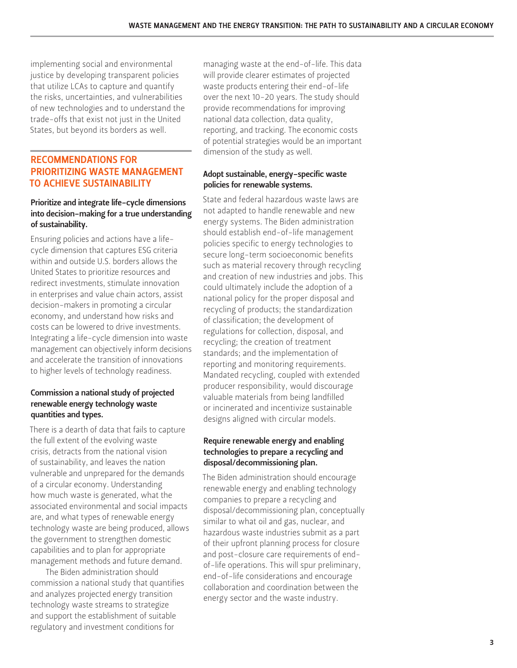implementing social and environmental justice by developing transparent policies that utilize LCAs to capture and quantify the risks, uncertainties, and vulnerabilities of new technologies and to understand the trade-offs that exist not just in the United States, but beyond its borders as well.

## RECOMMENDATIONS FOR PRIORITIZING WASTE MANAGEMENT TO ACHIEVE SUSTAINABILITY

#### Prioritize and integrate life-cycle dimensions into decision-making for a true understanding of sustainability.

Ensuring policies and actions have a lifecycle dimension that captures ESG criteria within and outside U.S. borders allows the United States to prioritize resources and redirect investments, stimulate innovation in enterprises and value chain actors, assist decision-makers in promoting a circular economy, and understand how risks and costs can be lowered to drive investments. Integrating a life-cycle dimension into waste management can objectively inform decisions and accelerate the transition of innovations to higher levels of technology readiness.

#### Commission a national study of projected renewable energy technology waste quantities and types.

There is a dearth of data that fails to capture the full extent of the evolving waste crisis, detracts from the national vision of sustainability, and leaves the nation vulnerable and unprepared for the demands of a circular economy. Understanding how much waste is generated, what the associated environmental and social impacts are, and what types of renewable energy technology waste are being produced, allows the government to strengthen domestic capabilities and to plan for appropriate management methods and future demand.

The Biden administration should commission a national study that quantifies and analyzes projected energy transition technology waste streams to strategize and support the establishment of suitable regulatory and investment conditions for

managing waste at the end-of-life. This data will provide clearer estimates of projected waste products entering their end-of-life over the next 10-20 years. The study should provide recommendations for improving national data collection, data quality, reporting, and tracking. The economic costs of potential strategies would be an important dimension of the study as well.

#### Adopt sustainable, energy-specific waste policies for renewable systems.

State and federal hazardous waste laws are not adapted to handle renewable and new energy systems. The Biden administration should establish end-of-life management policies specific to energy technologies to secure long-term socioeconomic benefits such as material recovery through recycling and creation of new industries and jobs. This could ultimately include the adoption of a national policy for the proper disposal and recycling of products; the standardization of classification; the development of regulations for collection, disposal, and recycling; the creation of treatment standards; and the implementation of reporting and monitoring requirements. Mandated recycling, coupled with extended producer responsibility, would discourage valuable materials from being landfilled or incinerated and incentivize sustainable designs aligned with circular models.

#### Require renewable energy and enabling technologies to prepare a recycling and disposal/decommissioning plan.

The Biden administration should encourage renewable energy and enabling technology companies to prepare a recycling and disposal/decommissioning plan, conceptually similar to what oil and gas, nuclear, and hazardous waste industries submit as a part of their upfront planning process for closure and post-closure care requirements of endof-life operations. This will spur preliminary, end-of-life considerations and encourage collaboration and coordination between the energy sector and the waste industry.